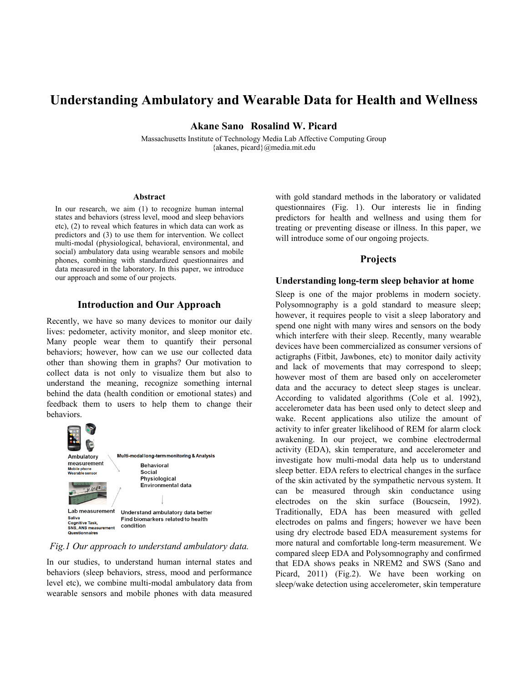# **Understanding Ambulatory and Wearable Data for Health and Wellness**

**Akane Sano Rosalind W. Picard**

Massachusetts Institute of Technology Media Lab Affective Computing Group {akanes, picard}@media.mit.edu

#### **Abstract**

In our research, we aim (1) to recognize human internal states and behaviors (stress level, mood and sleep behaviors etc), (2) to reveal which features in which data can work as predictors and (3) to use them for intervention. We collect multi-modal (physiological, behavioral, environmental, and social) ambulatory data using wearable sensors and mobile phones, combining with standardized questionnaires and data measured in the laboratory. In this paper, we introduce our approach and some of our projects.

### **Introduction and Our Approach**

Recently, we have so many devices to monitor our daily lives: pedometer, activity monitor, and sleep monitor etc. Many people wear them to quantify their personal behaviors; however, how can we use our collected data other than showing them in graphs? Our motivation to collect data is not only to visualize them but also to understand the meaning, recognize something internal behind the data (health condition or emotional states) and feedback them to users to help them to change their behaviors.



#### *Fig.1 Our approach to understand ambulatory data.*

In our studies, to understand human internal states and behaviors (sleep behaviors, stress, mood and performance level etc), we combine multi-modal ambulatory data from wearable sensors and mobile phones with data measured

with gold standard methods in the laboratory or validated questionnaires (Fig. 1). Our interests lie in finding predictors for health and wellness and using them for treating or preventing disease or illness. In this paper, we will introduce some of our ongoing projects.

## **Projects**

#### **Understanding long-term sleep behavior at home**

Sleep is one of the major problems in modern society. Polysomnography is a gold standard to measure sleep; however, it requires people to visit a sleep laboratory and spend one night with many wires and sensors on the body which interfere with their sleep. Recently, many wearable devices have been commercialized as consumer versions of actigraphs (Fitbit, Jawbones, etc) to monitor daily activity and lack of movements that may correspond to sleep; however most of them are based only on accelerometer data and the accuracy to detect sleep stages is unclear. According to validated algorithms (Cole et al. 1992), accelerometer data has been used only to detect sleep and wake. Recent applications also utilize the amount of activity to infer greater likelihood of REM for alarm clock awakening. In our project, we combine electrodermal activity (EDA), skin temperature, and accelerometer and investigate how multi-modal data help us to understand sleep better. EDA refers to electrical changes in the surface of the skin activated by the sympathetic nervous system. It can be measured through skin conductance using electrodes on the skin surface (Boucsein, 1992). Traditionally, EDA has been measured with gelled electrodes on palms and fingers; however we have been using dry electrode based EDA measurement systems for more natural and comfortable long-term measurement. We compared sleep EDA and Polysomnography and confirmed that EDA shows peaks in NREM2 and SWS (Sano and Picard, 2011) (Fig.2). We have been working on sleep/wake detection using accelerometer, skin temperature